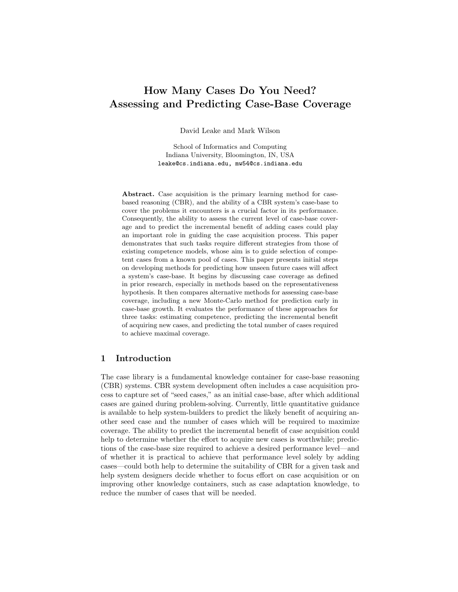# How Many Cases Do You Need? Assessing and Predicting Case-Base Coverage

David Leake and Mark Wilson

School of Informatics and Computing Indiana University, Bloomington, IN, USA leake@cs.indiana.edu, mw54@cs.indiana.edu

Abstract. Case acquisition is the primary learning method for casebased reasoning (CBR), and the ability of a CBR system's case-base to cover the problems it encounters is a crucial factor in its performance. Consequently, the ability to assess the current level of case-base coverage and to predict the incremental benefit of adding cases could play an important role in guiding the case acquisition process. This paper demonstrates that such tasks require different strategies from those of existing competence models, whose aim is to guide selection of competent cases from a known pool of cases. This paper presents initial steps on developing methods for predicting how unseen future cases will affect a system's case-base. It begins by discussing case coverage as defined in prior research, especially in methods based on the representativeness hypothesis. It then compares alternative methods for assessing case-base coverage, including a new Monte-Carlo method for prediction early in case-base growth. It evaluates the performance of these approaches for three tasks: estimating competence, predicting the incremental benefit of acquiring new cases, and predicting the total number of cases required to achieve maximal coverage.

### 1 Introduction

The case library is a fundamental knowledge container for case-base reasoning (CBR) systems. CBR system development often includes a case acquisition process to capture set of "seed cases," as an initial case-base, after which additional cases are gained during problem-solving. Currently, little quantitative guidance is available to help system-builders to predict the likely benefit of acquiring another seed case and the number of cases which will be required to maximize coverage. The ability to predict the incremental benefit of case acquisition could help to determine whether the effort to acquire new cases is worthwhile; predictions of the case-base size required to achieve a desired performance level—and of whether it is practical to achieve that performance level solely by adding cases—could both help to determine the suitability of CBR for a given task and help system designers decide whether to focus effort on case acquisition or on improving other knowledge containers, such as case adaptation knowledge, to reduce the number of cases that will be needed.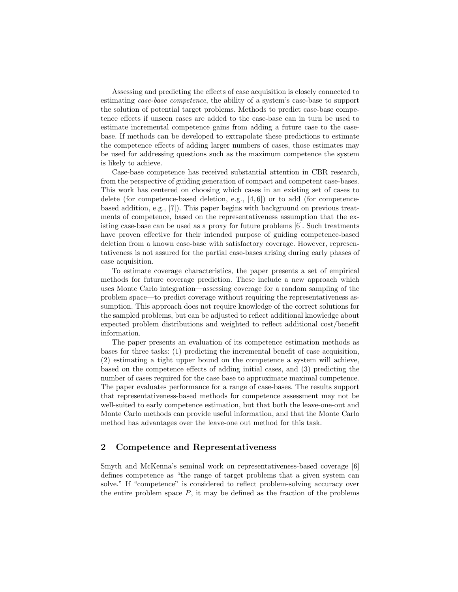Assessing and predicting the effects of case acquisition is closely connected to estimating case-base competence, the ability of a system's case-base to support the solution of potential target problems. Methods to predict case-base competence effects if unseen cases are added to the case-base can in turn be used to estimate incremental competence gains from adding a future case to the casebase. If methods can be developed to extrapolate these predictions to estimate the competence effects of adding larger numbers of cases, those estimates may be used for addressing questions such as the maximum competence the system is likely to achieve.

Case-base competence has received substantial attention in CBR research, from the perspective of guiding generation of compact and competent case-bases. This work has centered on choosing which cases in an existing set of cases to delete (for competence-based deletion, e.g.,  $[4, 6]$ ) or to add (for competencebased addition, e.g., [7]). This paper begins with background on previous treatments of competence, based on the representativeness assumption that the existing case-base can be used as a proxy for future problems [6]. Such treatments have proven effective for their intended purpose of guiding competence-based deletion from a known case-base with satisfactory coverage. However, representativeness is not assured for the partial case-bases arising during early phases of case acquisition.

To estimate coverage characteristics, the paper presents a set of empirical methods for future coverage prediction. These include a new approach which uses Monte Carlo integration—assessing coverage for a random sampling of the problem space—to predict coverage without requiring the representativeness assumption. This approach does not require knowledge of the correct solutions for the sampled problems, but can be adjusted to reflect additional knowledge about expected problem distributions and weighted to reflect additional cost/benefit information.

The paper presents an evaluation of its competence estimation methods as bases for three tasks: (1) predicting the incremental benefit of case acquisition, (2) estimating a tight upper bound on the competence a system will achieve, based on the competence effects of adding initial cases, and (3) predicting the number of cases required for the case base to approximate maximal competence. The paper evaluates performance for a range of case-bases. The results support that representativeness-based methods for competence assessment may not be well-suited to early competence estimation, but that both the leave-one-out and Monte Carlo methods can provide useful information, and that the Monte Carlo method has advantages over the leave-one out method for this task.

### 2 Competence and Representativeness

Smyth and McKenna's seminal work on representativeness-based coverage [6] defines competence as "the range of target problems that a given system can solve." If "competence" is considered to reflect problem-solving accuracy over the entire problem space  $P$ , it may be defined as the fraction of the problems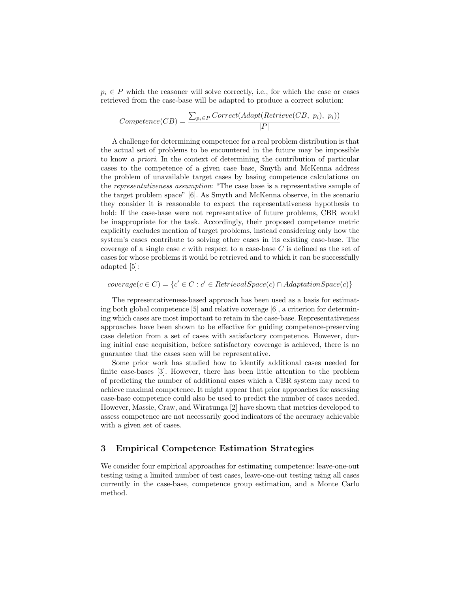$p_i \in P$  which the reasoner will solve correctly, i.e., for which the case or cases retrieved from the case-base will be adapted to produce a correct solution:

$$
Competence (CB) = \frac{\sum_{p_i \in P} Correct(Adapt(Retricve (CB, p_i), p_i))}{|P|}
$$

A challenge for determining competence for a real problem distribution is that the actual set of problems to be encountered in the future may be impossible to know a priori. In the context of determining the contribution of particular cases to the competence of a given case base, Smyth and McKenna address the problem of unavailable target cases by basing competence calculations on the representativeness assumption: "The case base is a representative sample of the target problem space" [6]. As Smyth and McKenna observe, in the scenario they consider it is reasonable to expect the representativeness hypothesis to hold: If the case-base were not representative of future problems, CBR would be inappropriate for the task. Accordingly, their proposed competence metric explicitly excludes mention of target problems, instead considering only how the system's cases contribute to solving other cases in its existing case-base. The coverage of a single case c with respect to a case-base  $C$  is defined as the set of cases for whose problems it would be retrieved and to which it can be successfully adapted [5]:

# $coverage(c \in C) = \{c' \in C : c' \in RetrievalSpace(c) \cap AdaptationSpace(c)\}\$

The representativeness-based approach has been used as a basis for estimating both global competence [5] and relative coverage [6], a criterion for determining which cases are most important to retain in the case-base. Representativeness approaches have been shown to be effective for guiding competence-preserving case deletion from a set of cases with satisfactory competence. However, during initial case acquisition, before satisfactory coverage is achieved, there is no guarantee that the cases seen will be representative.

Some prior work has studied how to identify additional cases needed for finite case-bases [3]. However, there has been little attention to the problem of predicting the number of additional cases which a CBR system may need to achieve maximal competence. It might appear that prior approaches for assessing case-base competence could also be used to predict the number of cases needed. However, Massie, Craw, and Wiratunga [2] have shown that metrics developed to assess competence are not necessarily good indicators of the accuracy achievable with a given set of cases.

## 3 Empirical Competence Estimation Strategies

We consider four empirical approaches for estimating competence: leave-one-out testing using a limited number of test cases, leave-one-out testing using all cases currently in the case-base, competence group estimation, and a Monte Carlo method.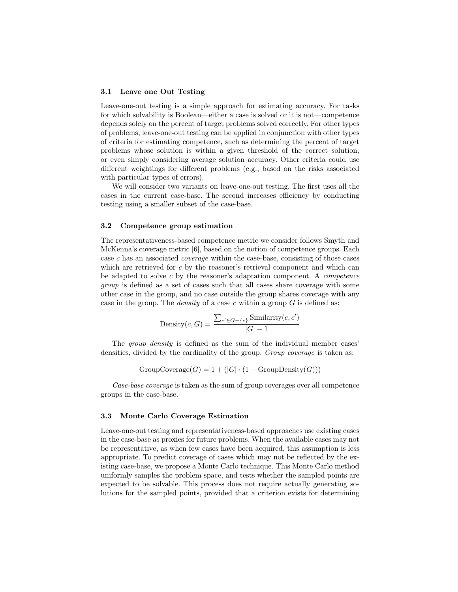#### 3.1 Leave one Out Testing

Leave-one-out testing is a simple approach for estimating accuracy. For tasks for which solvability is Boolean—either a case is solved or it is not—competence depends solely on the percent of target problems solved correctly. For other types of problems, leave-one-out testing can be applied in conjunction with other types of criteria for estimating competence, such as determining the percent of target problems whose solution is within a given threshold of the correct solution, or even simply considering average solution accuracy. Other criteria could use different weightings for different problems (e.g., based on the risks associated with particular types of errors).

We will consider two variants on leave-one-out testing. The first uses all the cases in the current case-base. The second increases efficiency by conducting testing using a smaller subset of the case-base.

#### 3.2 Competence group estimation

The representativeness-based competence metric we consider follows Smyth and McKenna's coverage metric [6], based on the notion of competence groups. Each case c has an associated coverage within the case-base, consisting of those cases which are retrieved for  $c$  by the reasoner's retrieval component and which can be adapted to solve  $c$  by the reasoner's adaptation component. A *competence* group is defined as a set of cases such that all cases share coverage with some other case in the group, and no case outside the group shares coverage with any case in the group. The *density* of a case c within a group  $G$  is defined as:

Density
$$
(c, G)
$$
 = 
$$
\frac{\sum_{c' \in G - \{c\}} \text{Similarity}(c, c')}{|G| - 1}
$$

The *group density* is defined as the sum of the individual member cases' densities, divided by the cardinality of the group. Group coverage is taken as:

GroupCoverage(
$$
G
$$
) = 1 + ( $|G| \cdot (1 - GroupDensity(G))$ )

Case-base coverage is taken as the sum of group coverages over all competence groups in the case-base.

#### 3.3 Monte Carlo Coverage Estimation

Leave-one-out testing and representativeness-based approaches use existing cases in the case-base as proxies for future problems. When the available cases may not be representative, as when few cases have been acquired, this assumption is less appropriate. To predict coverage of cases which may not be reflected by the existing case-base, we propose a Monte Carlo technique. This Monte Carlo method uniformly samples the problem space, and tests whether the sampled points are expected to be solvable. This process does not require actually generating solutions for the sampled points, provided that a criterion exists for determining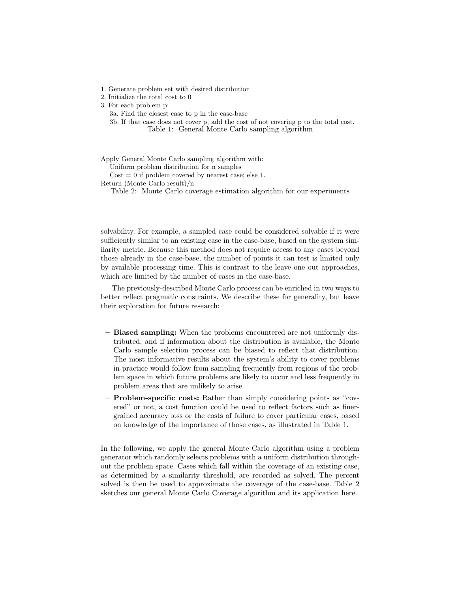1. Generate problem set with desired distribution

2. Initialize the total cost to 0

3. For each problem p:

3a. Find the closest case to p in the case-base

3b. If that case does not cover p, add the cost of not covering p to the total cost. Table 1: General Monte Carlo sampling algorithm

Apply General Monte Carlo sampling algorithm with:

Uniform problem distribution for n samples

 $Cost = 0$  if problem covered by nearest case; else 1.

Return (Monte Carlo result)/n

Table 2: Monte Carlo coverage estimation algorithm for our experiments

solvability. For example, a sampled case could be considered solvable if it were sufficiently similar to an existing case in the case-base, based on the system similarity metric. Because this method does not require access to any cases beyond those already in the case-base, the number of points it can test is limited only by available processing time. This is contrast to the leave one out approaches, which are limited by the number of cases in the case-base.

The previously-described Monte Carlo process can be enriched in two ways to better reflect pragmatic constraints. We describe these for generality, but leave their exploration for future research:

- Biased sampling: When the problems encountered are not uniformly distributed, and if information about the distribution is available, the Monte Carlo sample selection process can be biased to reflect that distribution. The most informative results about the system's ability to cover problems in practice would follow from sampling frequently from regions of the problem space in which future problems are likely to occur and less frequently in problem areas that are unlikely to arise.
- Problem-specific costs: Rather than simply considering points as "covered" or not, a cost function could be used to reflect factors such as finergrained accuracy loss or the costs of failure to cover particular cases, based on knowledge of the importance of those cases, as illustrated in Table 1.

In the following, we apply the general Monte Carlo algorithm using a problem generator which randomly selects problems with a uniform distribution throughout the problem space. Cases which fall within the coverage of an existing case, as determined by a similarity threshold, are recorded as solved. The percent solved is then be used to approximate the coverage of the case-base. Table 2 sketches our general Monte Carlo Coverage algorithm and its application here.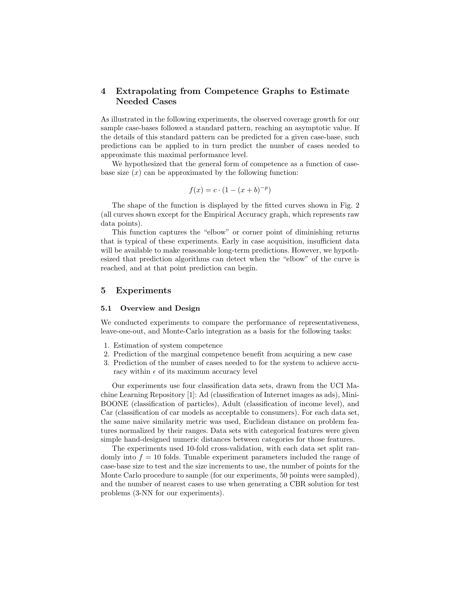# 4 Extrapolating from Competence Graphs to Estimate Needed Cases

As illustrated in the following experiments, the observed coverage growth for our sample case-bases followed a standard pattern, reaching an asymptotic value. If the details of this standard pattern can be predicted for a given case-base, such predictions can be applied to in turn predict the number of cases needed to approximate this maximal performance level.

We hypothesized that the general form of competence as a function of casebase size  $(x)$  can be approximated by the following function:

$$
f(x) = c \cdot (1 - (x + b)^{-p})
$$

The shape of the function is displayed by the fitted curves shown in Fig. 2 (all curves shown except for the Empirical Accuracy graph, which represents raw data points).

This function captures the "elbow" or corner point of diminishing returns that is typical of these experiments. Early in case acquisition, insufficient data will be available to make reasonable long-term predictions. However, we hypothesized that prediction algorithms can detect when the "elbow" of the curve is reached, and at that point prediction can begin.

### 5 Experiments

#### 5.1 Overview and Design

We conducted experiments to compare the performance of representativeness, leave-one-out, and Monte-Carlo integration as a basis for the following tasks:

- 1. Estimation of system competence
- 2. Prediction of the marginal competence benefit from acquiring a new case
- 3. Prediction of the number of cases needed to for the system to achieve accuracy within  $\epsilon$  of its maximum accuracy level

Our experiments use four classification data sets, drawn from the UCI Machine Learning Repository [1]: Ad (classification of Internet images as ads), Mini-BOONE (classification of particles), Adult (classification of income level), and Car (classification of car models as acceptable to consumers). For each data set, the same naive similarity metric was used, Euclidean distance on problem features normalized by their ranges. Data sets with categorical features were given simple hand-designed numeric distances between categories for those features.

The experiments used 10-fold cross-validation, with each data set split randomly into  $f = 10$  folds. Tunable experiment parameters included the range of case-base size to test and the size increments to use, the number of points for the Monte Carlo procedure to sample (for our experiments, 50 points were sampled), and the number of nearest cases to use when generating a CBR solution for test problems (3-NN for our experiments).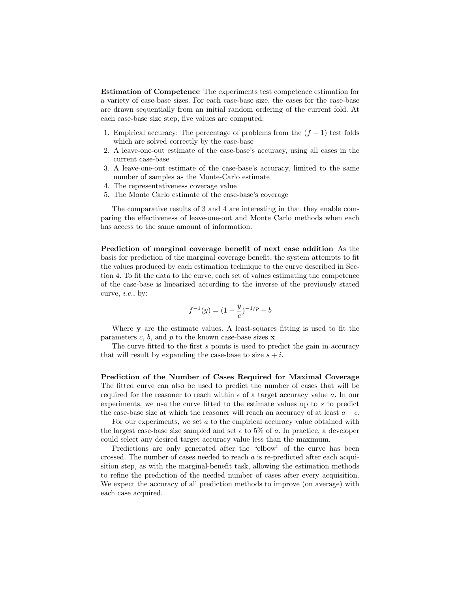Estimation of Competence The experiments test competence estimation for a variety of case-base sizes. For each case-base size, the cases for the case-base are drawn sequentially from an initial random ordering of the current fold. At each case-base size step, five values are computed:

- 1. Empirical accuracy: The percentage of problems from the  $(f-1)$  test folds which are solved correctly by the case-base
- 2. A leave-one-out estimate of the case-base's accuracy, using all cases in the current case-base
- 3. A leave-one-out estimate of the case-base's accuracy, limited to the same number of samples as the Monte-Carlo estimate
- 4. The representativeness coverage value
- 5. The Monte Carlo estimate of the case-base's coverage

The comparative results of 3 and 4 are interesting in that they enable comparing the effectiveness of leave-one-out and Monte Carlo methods when each has access to the same amount of information.

Prediction of marginal coverage benefit of next case addition As the basis for prediction of the marginal coverage benefit, the system attempts to fit the values produced by each estimation technique to the curve described in Section 4. To fit the data to the curve, each set of values estimating the competence of the case-base is linearized according to the inverse of the previously stated curve, *i.e.*, by:

$$
f^{-1}(y) = (1 - \frac{y}{c})^{-1/p} - b
$$

Where y are the estimate values. A least-squares fitting is used to fit the parameters  $c, b$ , and  $p$  to the known case-base sizes  $x$ .

The curve fitted to the first s points is used to predict the gain in accuracy that will result by expanding the case-base to size  $s + i$ .

Prediction of the Number of Cases Required for Maximal Coverage The fitted curve can also be used to predict the number of cases that will be required for the reasoner to reach within  $\epsilon$  of a target accuracy value a. In our experiments, we use the curve fitted to the estimate values up to s to predict the case-base size at which the reasoner will reach an accuracy of at least  $a - \epsilon$ .

For our experiments, we set a to the empirical accuracy value obtained with the largest case-base size sampled and set  $\epsilon$  to 5% of a. In practice, a developer could select any desired target accuracy value less than the maximum.

Predictions are only generated after the "elbow" of the curve has been crossed. The number of cases needed to reach  $a$  is re-predicted after each acquisition step, as with the marginal-benefit task, allowing the estimation methods to refine the prediction of the needed number of cases after every acquisition. We expect the accuracy of all prediction methods to improve (on average) with each case acquired.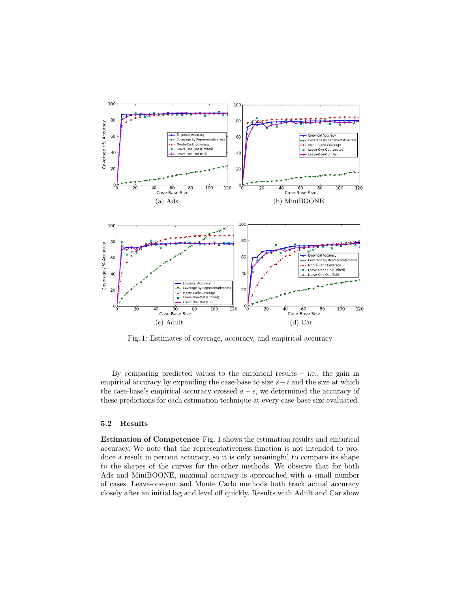

Fig. 1: Estimates of coverage, accuracy, and empirical accuracy

By comparing predicted values to the empirical results  $-$  i.e., the gain in empirical accuracy by expanding the case-base to size  $s+i$  and the size at which the case-base's empirical accuracy crossed  $a - \epsilon$ , we determined the accuracy of these predictions for each estimation technique at every case-base size evaluated.

### 5.2 Results

Estimation of Competence Fig. 1 shows the estimation results and empirical accuracy. We note that the representativeness function is not intended to produce a result in percent accuracy, so it is only meaningful to compare its shape to the shapes of the curves for the other methods. We observe that for both Ads and MiniBOONE, maximal accuracy is approached with a small number of cases. Leave-one-out and Monte Carlo methods both track actual accuracy closely after an initial lag and level off quickly. Results with Adult and Car show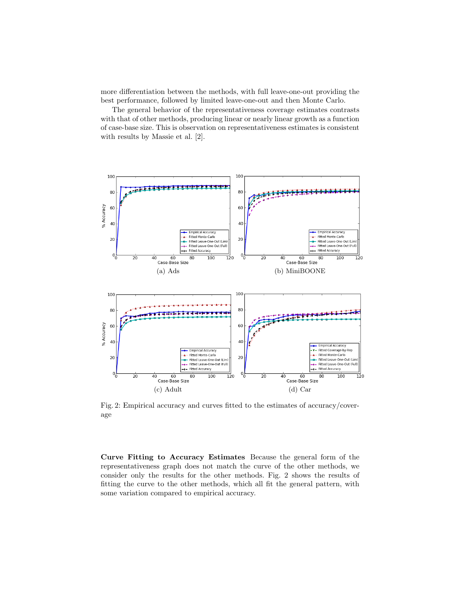more differentiation between the methods, with full leave-one-out providing the best performance, followed by limited leave-one-out and then Monte Carlo.

The general behavior of the representativeness coverage estimates contrasts with that of other methods, producing linear or nearly linear growth as a function of case-base size. This is observation on representativeness estimates is consistent with results by Massie et al. [2].



Fig. 2: Empirical accuracy and curves fitted to the estimates of accuracy/coverage

Curve Fitting to Accuracy Estimates Because the general form of the representativeness graph does not match the curve of the other methods, we consider only the results for the other methods. Fig. 2 shows the results of fitting the curve to the other methods, which all fit the general pattern, with some variation compared to empirical accuracy.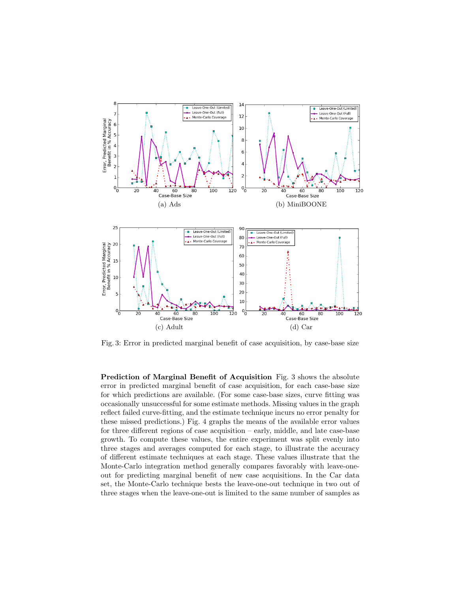

Fig. 3: Error in predicted marginal benefit of case acquisition, by case-base size

Prediction of Marginal Benefit of Acquisition Fig. 3 shows the absolute error in predicted marginal benefit of case acquisition, for each case-base size for which predictions are available. (For some case-base sizes, curve fitting was occasionally unsuccessful for some estimate methods. Missing values in the graph reflect failed curve-fitting, and the estimate technique incurs no error penalty for these missed predictions.) Fig. 4 graphs the means of the available error values for three different regions of case acquisition – early, middle, and late case-base growth. To compute these values, the entire experiment was split evenly into three stages and averages computed for each stage, to illustrate the accuracy of different estimate techniques at each stage. These values illustrate that the Monte-Carlo integration method generally compares favorably with leave-oneout for predicting marginal benefit of new case acquisitions. In the Car data set, the Monte-Carlo technique bests the leave-one-out technique in two out of three stages when the leave-one-out is limited to the same number of samples as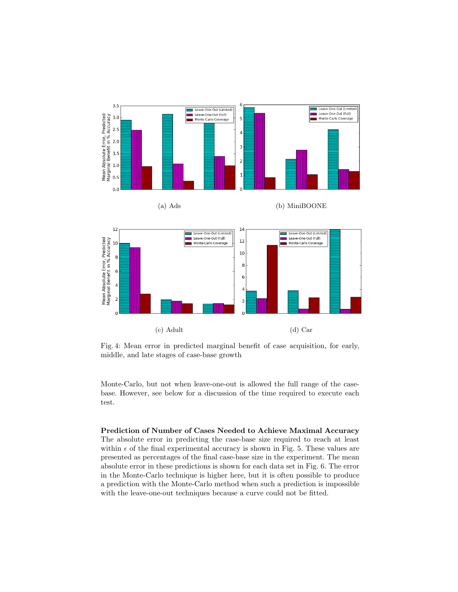

Fig. 4: Mean error in predicted marginal benefit of case acquisition, for early, middle, and late stages of case-base growth

Monte-Carlo, but not when leave-one-out is allowed the full range of the casebase. However, see below for a discussion of the time required to execute each test.

Prediction of Number of Cases Needed to Achieve Maximal Accuracy The absolute error in predicting the case-base size required to reach at least within  $\epsilon$  of the final experimental accuracy is shown in Fig. 5. These values are presented as percentages of the final case-base size in the experiment. The mean absolute error in these predictions is shown for each data set in Fig. 6. The error in the Monte-Carlo technique is higher here, but it is often possible to produce a prediction with the Monte-Carlo method when such a prediction is impossible with the leave-one-out techniques because a curve could not be fitted.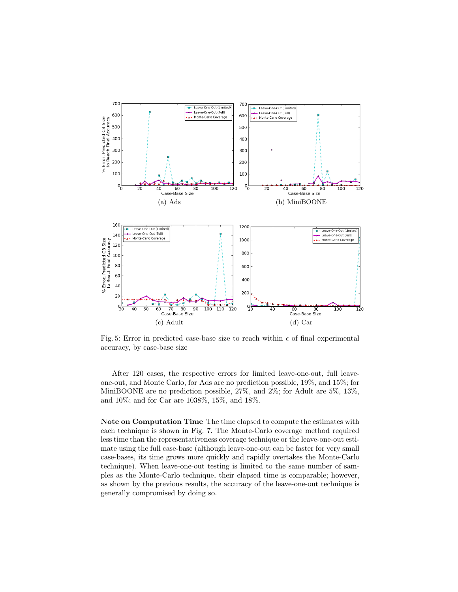

Fig. 5: Error in predicted case-base size to reach within  $\epsilon$  of final experimental accuracy, by case-base size

After 120 cases, the respective errors for limited leave-one-out, full leaveone-out, and Monte Carlo, for Ads are no prediction possible, 19%, and 15%; for MiniBOONE are no prediction possible, 27%, and 2%; for Adult are 5%, 13%, and 10%; and for Car are 1038%, 15%, and 18%.

Note on Computation Time The time elapsed to compute the estimates with each technique is shown in Fig. 7. The Monte-Carlo coverage method required less time than the representativeness coverage technique or the leave-one-out estimate using the full case-base (although leave-one-out can be faster for very small case-bases, its time grows more quickly and rapidly overtakes the Monte-Carlo technique). When leave-one-out testing is limited to the same number of samples as the Monte-Carlo technique, their elapsed time is comparable; however, as shown by the previous results, the accuracy of the leave-one-out technique is generally compromised by doing so.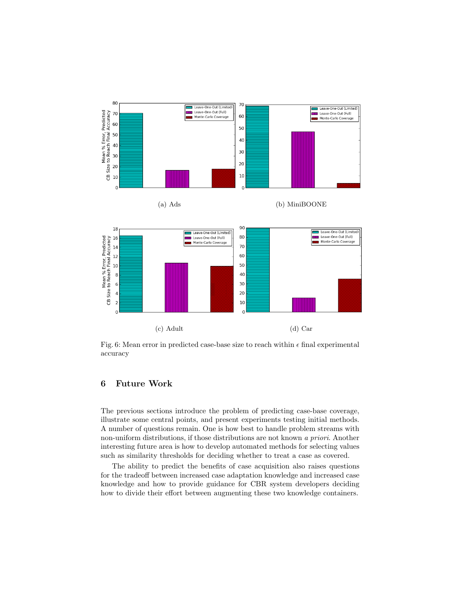

Fig. 6: Mean error in predicted case-base size to reach within  $\epsilon$  final experimental accuracy

# 6 Future Work

The previous sections introduce the problem of predicting case-base coverage, illustrate some central points, and present experiments testing initial methods. A number of questions remain. One is how best to handle problem streams with non-uniform distributions, if those distributions are not known a priori. Another interesting future area is how to develop automated methods for selecting values such as similarity thresholds for deciding whether to treat a case as covered.

The ability to predict the benefits of case acquisition also raises questions for the tradeoff between increased case adaptation knowledge and increased case knowledge and how to provide guidance for CBR system developers deciding how to divide their effort between augmenting these two knowledge containers.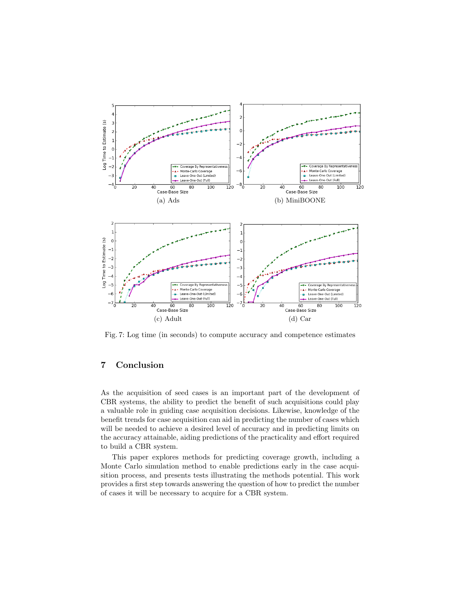

Fig. 7: Log time (in seconds) to compute accuracy and competence estimates

# 7 Conclusion

As the acquisition of seed cases is an important part of the development of CBR systems, the ability to predict the benefit of such acquisitions could play a valuable role in guiding case acquisition decisions. Likewise, knowledge of the benefit trends for case acquisition can aid in predicting the number of cases which will be needed to achieve a desired level of accuracy and in predicting limits on the accuracy attainable, aiding predictions of the practicality and effort required to build a CBR system.

This paper explores methods for predicting coverage growth, including a Monte Carlo simulation method to enable predictions early in the case acquisition process, and presents tests illustrating the methods potential. This work provides a first step towards answering the question of how to predict the number of cases it will be necessary to acquire for a CBR system.